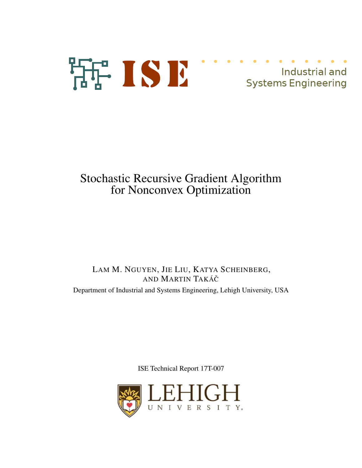# 活: ISE Industrial and Industrial and<br>Systems Engineering

# Stochastic Recursive Gradient Algorithm for Nonconvex Optimization

# LAM M. NGUYEN, JIE LIU, KATYA SCHEINBERG, AND MARTIN TAKÁCˇ

Department of Industrial and Systems Engineering, Lehigh University, USA

ISE Technical Report 17T-007

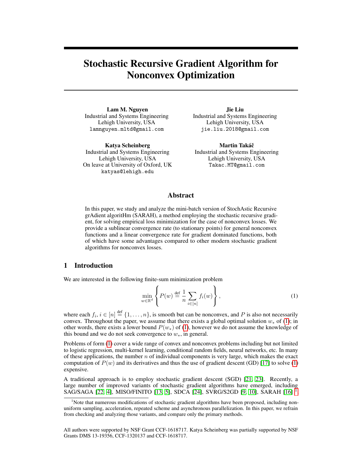# Stochastic Recursive Gradient Algorithm for Nonconvex Optimization

Lam M. Nguyen Industrial and Systems Engineering Lehigh University, USA lamnguyen.mltd@gmail.com

Katya Scheinberg Industrial and Systems Engineering Lehigh University, USA On leave at University of Oxford, UK katyas@lehigh.edu

Jie Liu Industrial and Systems Engineering Lehigh University, USA jie.liu.2018@gmail.com

Martin Takáč Industrial and Systems Engineering Lehigh University, USA Takac.MT@gmail.com

### Abstract

In this paper, we study and analyze the mini-batch version of StochAstic Recursive grAdient algoritHm (SARAH), a method employing the stochastic recursive gradient, for solving empirical loss minimization for the case of nonconvex losses. We provide a sublinear convergence rate (to stationary points) for general nonconvex functions and a linear convergence rate for gradient dominated functions, both of which have some advantages compared to other modern stochastic gradient algorithms for nonconvex losses.

#### 1 Introduction

We are interested in the following finite-sum minimization problem

<span id="page-1-0"></span>
$$
\min_{w \in \mathbb{R}^d} \left\{ P(w) \stackrel{\text{def}}{=} \frac{1}{n} \sum_{i \in [n]} f_i(w) \right\},\tag{1}
$$

where each  $f_i$ ,  $i \in [n] \stackrel{\text{def}}{=} \{1, \ldots, n\}$ , is smooth but can be nonconvex, and P is also not necessarily convex. Throughout the paper, we assume that there exists a global optimal solution  $w_*$  of [\(1\)](#page-1-0); in other words, there exists a lower bound  $P(w_*)$  of [\(1\)](#page-1-0), however we do not assume the knowledge of this bound and we do not seek convergence to  $w_*$ , in general.

Problems of form [\(1\)](#page-1-0) cover a wide range of convex and nonconvex problems including but not limited to logistic regression, multi-kernel learning, conditional random fields, neural networks, etc. In many of these applications, the number  $n$  of individual components is very large, which makes the exact computation of  $P(w)$  and its derivatives and thus the use of gradient descent (GD) [\[17\]](#page-9-0) to solve [\(1\)](#page-1-0) expensive.

A traditional approach is to employ stochastic gradient descent (SGD) [\[21,](#page-9-1) [23\]](#page-10-0). Recently, a large number of improved variants of stochastic gradient algorithms have emerged, including SAG/SAGA [\[22,](#page-10-1) [4\]](#page-9-2), MISO/FINITO [\[13,](#page-9-3) [5\]](#page-9-4), SDCA [\[24\]](#page-10-2), SVRG/S2GD [\[9,](#page-9-5) [10\]](#page-9-6), SARAH [\[16\]](#page-9-7) [1](#page-1-1) .

All authors were supported by NSF Grant CCF-1618717. Katya Scheinberg was partially supported by NSF Grants DMS 13-19356, CCF-1320137 and CCF-1618717.

<span id="page-1-1"></span><sup>&</sup>lt;sup>1</sup>Note that numerous modifications of stochastic gradient algorithms have been proposed, including nonuniform sampling, acceleration, repeated scheme and asynchronous parallelization. In this paper, we refrain from checking and analyzing those variants, and compare only the primary methods.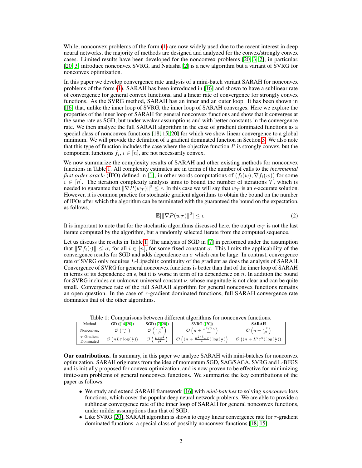While, nonconvex problems of the form  $(1)$  are now widely used due to the recent interest in deep neural networks, the majority of methods are designed and analyzed for the convex/strongly convex cases. Limited results have been developed for the nonconvex problems [\[20,](#page-9-8) [3,](#page-9-9) [2\]](#page-9-10), in particular, [\[20,](#page-9-8) [3\]](#page-9-9) introduce nonconvex SVRG, and Natasha [\[2\]](#page-9-10) is a new algorithm but a variant of SVRG for nonconvex optimization.

In this paper we develop convergence rate analysis of a mini-batch variant SARAH for nonconvex problems of the form [\(1\)](#page-1-0). SARAH has been introduced in [\[16\]](#page-9-7) and shown to have a sublinear rate of convergence for general convex functions, and a linear rate of convergence for strongly convex functions. As the SVRG method, SARAH has an inner and an outer loop. It has been shown in [\[16\]](#page-9-7) that, unlike the inner loop of SVRG, the inner loop of SARAH converges. Here we explore the properties of the inner loop of SARAH for general nonconvex functions and show that it converges at the same rate as SGD, but under weaker assumptions and with better constants in the convergence rate. We then analyze the full SARAH algorithm in the case of gradient dominated functions as a special class of nonconvex functions [\[18,](#page-9-11) [15,](#page-9-12) [20\]](#page-9-8) for which we show linear convergence to a global minimum. We will provide the definition of a gradient dominated function in Section [3.](#page-4-0) We also note that this type of function includes the case where the objective function  $P$  is strongly convex, but the component functions  $f_i$ ,  $i \in [n]$ , are not necessarily convex.

We now summarize the complexity results of SARAH and other existing methods for nonconvex functions in Table [1.](#page-2-0) All complexity estimates are in terms of the number of calls to the *incremental first order oracle* (IFO) defined in [\[1\]](#page-9-13), in other words computations of  $(f_i(w), \nabla f_i(w))$  for some  $i \in [n]$ . The iteration complexity analysis aims to bound the number of iterations  $\mathcal{T}$ , which is needed to guarantee that  $\|\nabla P(w_\mathcal{T})\|^2 \leq \epsilon$ . In this case we will say that  $w_\mathcal{T}$  is an  $\epsilon$ -accurate solution. However, it is common practice for stochastic gradient algorithms to obtain the bound on the number of IFOs after which the algorithm can be terminated with the guaranteed the bound on the expectation, as follows,

$$
\mathbb{E}[\|\nabla P(w_{\mathcal{T}})\|^2] \le \epsilon. \tag{2}
$$

<span id="page-2-1"></span>It is important to note that for the stochastic algorithms discussed here, the output  $w_{\tau}$  is not the last iterate computed by the algorithm, but a randomly selected iterate from the computed sequence.

Let us discuss the results in Table [1.](#page-2-0) The analysis of SGD in [\[7\]](#page-9-14) in performed under the assumption that  $\|\nabla f_i(\cdot)\| \leq \sigma$ , for all  $i \in [n]$ , for some fixed constant  $\sigma$ . This limits the applicability of the convergence results for SGD and adds dependence on  $\sigma$  which can be large. In contrast, convergence rate of SVRG only requires L-Lipschitz continuity of the gradient as does the analysis of SARAH. Convergence of SVRG for general nonconvex functions is better than that of the inner loop of SARAH in terms of its dependence on  $\epsilon$ , but it is worse in term of its dependence on n. In addition the bound for SVRG includes an unknown universal constant  $\nu$ , whose magnitude is not clear and can be quite small. Convergence rate of the full SARAH algorithm for general nonconvex functions remains an open question. In the case of τ -gradient dominated functions, full SARAH convergence rate dominates that of the other algorithms.

<span id="page-2-0"></span>

|                               |                                          |                                           | Ë                                                       |                                                            |  |
|-------------------------------|------------------------------------------|-------------------------------------------|---------------------------------------------------------|------------------------------------------------------------|--|
| Method                        | GD ([14, 20])                            | SGD ([7, 20])                             | <b>SVRG</b> ([20])                                      | <b>SARAH</b>                                               |  |
| Nonconvex                     | nL                                       | $L\sigma^2$<br>ے ۔                        | . эт<br>۰ ه.<br>$\nu \epsilon$                          | - 4                                                        |  |
| $\tau$ -Gradient<br>Dominated | Ó<br>$(nL\tau \log(\frac{1}{\epsilon}))$ | $\pi \sigma^2$<br>$\epsilon$ <sup>4</sup> | 2/3r<br>$\sqrt{ }$<br>\log<br>$\boldsymbol{\nu}$<br>`€∸ | $4 - 4$<br>$\log(\frac{1}{\epsilon})$<br>$^{\prime}$ ( $n$ |  |

Table 1: Comparisons between different algorithms for nonconvex functions.

Our contributions. In summary, in this paper we analyze SARAH with mini-batches for nonconvex optimization. SARAH originates from the idea of momentum SGD, SAG/SAGA, SVRG and L-BFGS and is initially proposed for convex optimization, and is now proven to be effective for minimizing finite-sum problems of general nonconvex functions. We summarize the key contributions of the paper as follows.

- We study and extend SARAH framework [\[16\]](#page-9-7) with *mini-batches* to solving *nonconvex* loss functions, which cover the popular deep neural network problems. We are able to provide a sublinear convergence rate of the inner loop of SARAH for general nonconvex functions, under milder assumptions than that of SGD.
- Like SVRG [\[20\]](#page-9-8), SARAH algorithm is shown to enjoy linear convergence rate for  $\tau$ -gradient dominated functions–a special class of possibly nonconvex functions [\[18,](#page-9-11) [15\]](#page-9-12).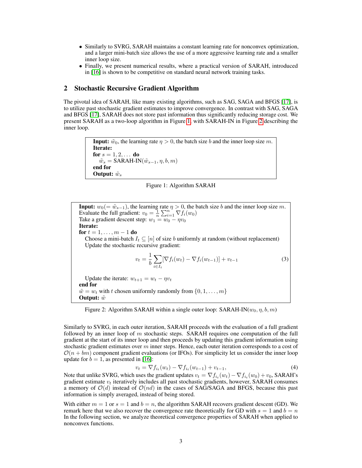- Similarly to SVRG, SARAH maintains a constant learning rate for nonconvex optimization, and a larger mini-batch size allows the use of a more aggressive learning rate and a smaller inner loop size.
- Finally, we present numerical results, where a practical version of SARAH, introduced in [\[16\]](#page-9-7) is shown to be competitive on standard neural network training tasks.

### 2 Stochastic Recursive Gradient Algorithm

The pivotal idea of SARAH, like many existing algorithms, such as SAG, SAGA and BFGS [\[17\]](#page-9-0), is to utilize past stochastic gradient estimates to improve convergence. In contrast with SAG, SAGA and BFGS [\[17\]](#page-9-0), SARAH does not store past information thus significantly reducing storage cost. We present SARAH as a two-loop algorithm in Figure [1,](#page-3-0) with SARAH-IN in Figure [2](#page-3-1) describing the inner loop.

> <span id="page-3-0"></span>**Input:**  $\tilde{w}_0$ , the learning rate  $\eta > 0$ , the batch size b and the inner loop size m. Iterate: for  $s = 1, 2, \ldots$  do  $\tilde{w}_s = \text{SARAH-IN}(\tilde{w}_{s-1}, \eta, b, m)$ end for Output:  $\tilde{w}_s$

<span id="page-3-2"></span>Figure 1: Algorithm SARAH

<span id="page-3-1"></span>**Input:**  $w_0(=\tilde{w}_{s-1})$ , the learning rate  $\eta > 0$ , the batch size b and the inner loop size m. Evaluate the full gradient:  $v_0 = \frac{1}{n} \sum_{i=1}^n \nabla f_i(w_0)$ Take a gradient descent step:  $w_1 = w_0 - \eta v_0$ Iterate: for  $t = 1, \ldots, m - 1$  do Choose a mini-batch  $I_t \subseteq [n]$  of size b uniformly at random (without replacement) Update the stochastic recursive gradient:  $v_t = \frac{1}{t}$ b  $\sum$  $i \in I_t$  $[\nabla f_i(w_t) - \nabla f_i(w_{t-1})] + v_{t-1}$  (3) Update the iterate:  $w_{t+1} = w_t - \eta v_t$ end for  $\tilde{w} = w_t$  with t chosen uniformly randomly from  $\{0, 1, \ldots, m\}$ Output:  $\tilde{w}$ 

Figure 2: Algorithm SARAH within a single outer loop: SARAH-IN( $w_0, \eta, b, m$ )

Similarly to SVRG, in each outer iteration, SARAH proceeds with the evaluation of a full gradient followed by an inner loop of  $m$  stochastic steps. SARAH requires one computation of the full gradient at the start of its inner loop and then proceeds by updating this gradient information using stochastic gradient estimates over  $m$  inner steps. Hence, each outer iteration corresponds to a cost of  $\mathcal{O}(n + bm)$  component gradient evaluations (or IFOs). For simplicity let us consider the inner loop update for  $b = 1$ , as presented in [\[16\]](#page-9-7):

<span id="page-3-3"></span>
$$
v_t = \nabla f_{i_t}(w_t) - \nabla f_{i_t}(w_{t-1}) + v_{t-1},
$$
\n(4)

Note that unlike SVRG, which uses the gradient updates  $v_t = \nabla f_{i_t}(w_t) - \nabla f_{i_t}(w_0) + v_0$ , SARAH's gradient estimate  $v_t$  iteratively includes all past stochastic gradients, however, SARAH consumes a memory of  $O(d)$  instead of  $O(nd)$  in the cases of SAG/SAGA and BFGS, because this past information is simply averaged, instead of being stored.

With either  $m = 1$  or  $s = 1$  and  $b = n$ , the algorithm SARAH recovers gradient descent (GD). We remark here that we also recover the convergence rate theoretically for GD with  $s = 1$  and  $b = n$ In the following section, we analyze theoretical convergence properties of SARAH when applied to nonconvex functions.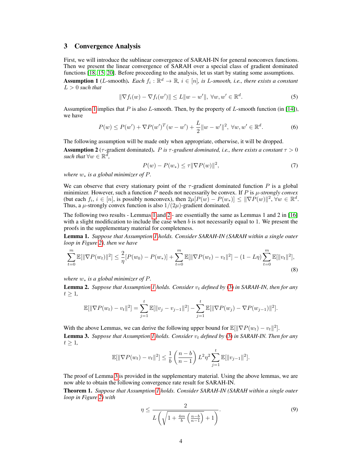# <span id="page-4-0"></span>3 Convergence Analysis

First, we will introduce the sublinear convergence of SARAH-IN for general nonconvex functions. Then we present the linear convergence of SARAH over a special class of gradient dominated functions [\[18,](#page-9-11) [15,](#page-9-12) [20\]](#page-9-8). Before proceeding to the analysis, let us start by stating some assumptions.

<span id="page-4-1"></span>**Assumption 1** (*L*-smooth). *Each*  $f_i : \mathbb{R}^d \to \mathbb{R}$ ,  $i \in [n]$ , is *L-smooth*, *i.e.*, *there exists a constant*  $L > 0$  *such that* 

$$
\|\nabla f_i(w) - \nabla f_i(w')\| \le L\|w - w'\|, \ \forall w, w' \in \mathbb{R}^d.
$$
\n<sup>(5)</sup>

Assumption [1](#page-4-1) implies that P is also L-smooth. Then, by the property of L-smooth function (in [\[14\]](#page-9-15)), we have

$$
P(w) \le P(w') + \nabla P(w')^{T} (w - w') + \frac{L}{2} ||w - w'||^{2}, \ \forall w, w' \in \mathbb{R}^{d}.
$$
 (6)

<span id="page-4-5"></span>The following assumption will be made only when appropriate, otherwise, it will be dropped. **Assumption 2** ( $\tau$ -gradient dominated). P is  $\tau$ -gradient dominated, i.e., there exists a constant  $\tau > 0$ *such that*  $\forall w \in \mathbb{R}^d$ ,

$$
P(w) - P(w_*) \le \tau \|\nabla P(w)\|^2,\tag{7}
$$

*where* w<sup>∗</sup> *is a global minimizer of* P*.*

We can observe that every stationary point of the  $\tau$ -gradient dominated function P is a global minimizer. However, such a function  $\overline{P}$  needs not necessarily be convex. If  $\overline{P}$  is  $\mu$ -*strongly convex* (but each  $f_i, i \in [n]$ , is possibly nonconvex), then  $2\mu[P(w) - P(w_*)] \le ||\nabla P(w)||^2$ ,  $\forall w \in \mathbb{R}^d$ . Thus, a  $\mu$ -strongly convex function is also  $1/(2\mu)$ -gradient dominated.

The following two results - Lemmas [1](#page-4-2) and [2](#page-4-3) - are essentially the same as Lemmas 1 and 2 in [\[16\]](#page-9-7) with a slight modification to include the case when b is not necessarily equal to 1. We present the proofs in the supplementary material for completeness.

<span id="page-4-2"></span>Lemma 1. *Suppose that Assumption [1](#page-4-1) holds. Consider SARAH-IN (SARAH within a single outer loop in Figure [2\)](#page-3-1), then we have*

$$
\sum_{t=0}^{m} \mathbb{E}[\|\nabla P(w_t)\|^2] \leq \frac{2}{\eta} [P(w_0) - P(w_*)] + \sum_{t=0}^{m} \mathbb{E}[\|\nabla P(w_t) - v_t\|^2] - (1 - L\eta) \sum_{t=0}^{m} \mathbb{E}[\|v_t\|^2],\tag{8}
$$

*where* w<sup>∗</sup> *is a global minimizer of* P*.*

<span id="page-4-3"></span>**Lemma 2.** *Suppose that Assumption [1](#page-4-1) holds. Consider*  $v_t$  *defined by* [\(3\)](#page-3-2) *in SARAH-IN, then for any*  $t \geq 1$ ,

$$
\mathbb{E}[\|\nabla P(w_t) - v_t\|^2] = \sum_{j=1}^t \mathbb{E}[\|v_j - v_{j-1}\|^2] - \sum_{j=1}^t \mathbb{E}[\|\nabla P(w_j) - \nabla P(w_{j-1})\|^2].
$$

<span id="page-4-4"></span>With the above Lemmas, we can derive the following upper bound for  $\mathbb{E}[\|\nabla P(w_t) - v_t\|^2].$ **Lemma 3.** *Suppose that Assumption [1](#page-4-1) holds. Consider*  $v_t$  *defined by* [\(3\)](#page-3-2) *in SARAH-IN. Then for any*  $t \geq 1$ ,

$$
\mathbb{E}[\|\nabla P(w_t) - v_t\|^2] \le \frac{1}{b} \left(\frac{n-b}{n-1}\right) L^2 \eta^2 \sum_{j=1}^t \mathbb{E}[\|v_{j-1}\|^2].
$$

The proof of Lemma [3](#page-4-4) is provided in the supplementary material. Using the above lemmas, we are now able to obtain the following convergence rate result for SARAH-IN.

<span id="page-4-6"></span>Theorem 1. *Suppose that Assumption [1](#page-4-1) holds. Consider SARAH-IN (SARAH within a single outer loop in Figure [2\)](#page-3-1) with*

$$
\eta \le \frac{2}{L\left(\sqrt{1 + \frac{4m}{b}\left(\frac{n-b}{n-1}\right)} + 1\right)}.\tag{9}
$$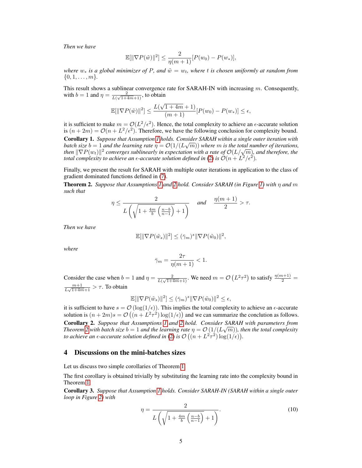*Then we have*

$$
\mathbb{E}[\|\nabla P(\tilde{w})\|^2] \le \frac{2}{\eta(m+1)}[P(w_0) - P(w_*)],
$$

*where*  $w_*$  *is a global minimizer of* P, and  $\tilde{w} = w_t$ , where t *is chosen uniformly at random from*  $\{0, 1, \ldots, m\}.$ 

This result shows a sublinear convergence rate for SARAH-IN with increasing  $m$ . Consequently, with  $b=1$  and  $\eta = \frac{2}{l}$  $\frac{2}{L(\sqrt{1+4m+1})}$ , to obtain

$$
\mathbb{E}[\|\nabla P(\tilde{w})\|^2] \le \frac{L(\sqrt{1+4m}+1)}{(m+1)}[P(w_0) - P(w_*)] \le \epsilon,
$$

it is sufficient to make  $m = \mathcal{O}(L^2/\epsilon^2)$ . Hence, the total complexity to achieve an  $\epsilon$ -accurate solution is  $(n+2m) = \mathcal{O}(n+L^2/\epsilon^2)$ . Therefore, we have the following conclusion for complexity bound.

Corollary 1. *Suppose that Assumption [1](#page-4-1) holds. Consider SARAH within a single outer iteration with* √ *batch size*  $b = 1$  *and the learning rate*  $\eta = \mathcal{O}(1/(L\sqrt{m}))$  *where*  $m$  *is the total number of iterations, batch size*  $b = 1$  and the learning rate  $\eta = O(1/(L\sqrt{m}))$  where  $m$  is the total number of iterations<br>then  $\|\nabla P(w_t)\|^2$  converges sublinearly in expectation with a rate of  $\mathcal{O}(L/\sqrt{m})$ , and therefore, the *total complexity to achieve an*  $\epsilon$ *-accurate solution defined in* [\(2\)](#page-2-1) is  $\mathcal{O}(n + L^2/\epsilon^2)$ .

Finally, we present the result for SARAH with multiple outer iterations in application to the class of gradient dominated functions defined in [\(7\)](#page-4-5).

<span id="page-5-0"></span>Theorem 2. *Suppose that Assumptions [1](#page-4-1) and [2](#page-4-5) hold. Consider SARAH (in Figure [1\)](#page-3-0) with* η *and* m *such that*

$$
\eta \le \frac{2}{L\left(\sqrt{1+\frac{4m}{b}\left(\frac{n-b}{n-1}\right)}+1\right)} \quad \text{and} \quad \frac{\eta(m+1)}{2} > \tau.
$$

*Then we have*

$$
\mathbb{E}[\|\nabla P(\tilde{w}_s)\|^2] \leq (\bar{\gamma}_m)^s \|\nabla P(\tilde{w}_0)\|^2,
$$

*where*

$$
\bar{\gamma}_m = \frac{2\tau}{\eta(m+1)} < 1.
$$

Consider the case when  $b = 1$  and  $\eta = \frac{2}{L(L+1)}$  $\frac{2}{L(\sqrt{1+4m+1})}$ . We need  $m = \mathcal{O}\left(L^2\tau^2\right)$  to satisfy  $\frac{\eta(m+1)}{2}$  =  $m+1$  $\frac{m+1}{L\sqrt{1+4m+1}} > \tau$ . To obtain

$$
\mathbb{E}[\|\nabla P(\tilde{w}_s)\|^2] \le (\bar{\gamma}_m)^s \|\nabla P(\tilde{w}_0)\|^2 \le \epsilon,
$$

it is sufficient to have  $s = \mathcal{O}(\log(1/\epsilon))$ . This implies the total complexity to achieve an  $\epsilon$ -accurate solution is  $(n+2m)s = \mathcal{O}\left((n+L^2\tau^2)\log(1/\epsilon)\right)$  and we can summarize the conclution as follows. Corollary 2. *Suppose that Assumptions [1](#page-4-1) and [2](#page-4-5) hold. Consider SARAH with parameters from* √ *Theorem* [2](#page-5-0) with batch size  $b = 1$  and the learning rate  $\eta = \mathcal{O}\left(1/(L\sqrt{m})\right)$ , then the total complexity *to achieve an*  $\epsilon$ *-accurate solution defined in [\(2\)](#page-2-1) is*  $\mathcal{O}\left((n+L^2\tau^2)\log(1/\epsilon)\right)$ *.* 

#### 4 Discussions on the mini-batches sizes

Let us discuss two simple corollaries of Theorem [1.](#page-4-6)

The first corollary is obtained trivially by substituting the learning rate into the complexity bound in Theorem [1.](#page-4-6)

<span id="page-5-1"></span>Corollary 3. *Suppose that Assumption [1](#page-4-1) holds. Consider SARAH-IN (SARAH within a single outer loop in Figure [2\)](#page-3-1) with*

$$
\eta = \frac{2}{L\left(\sqrt{1 + \frac{4m}{b}\left(\frac{n-b}{n-1}\right)} + 1\right)}.\tag{10}
$$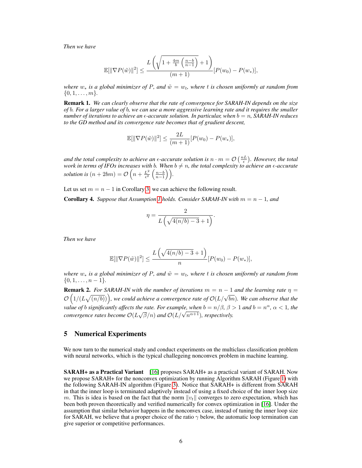*Then we have*

$$
\mathbb{E}[\|\nabla P(\tilde{w})\|^2] \le \frac{L\left(\sqrt{1+\frac{4m}{b}\left(\frac{n-b}{n-1}\right)}+1\right)}{(m+1)}[P(w_0)-P(w_*)],
$$

*where*  $w_*$  *is a global minimizer of* P, and  $\tilde{w} = w_t$ , where t *is chosen uniformly at random from*  $\{0, 1, \ldots, m\}.$ 

Remark 1. *We can clearly observe that the rate of convergence for SARAH-IN depends on the size of* b*. For a larger value of* b*, we can use a more aggressive learning rate and it requires the smaller number of iterations to achieve an*  $\epsilon$ *-accurate solution. In particular, when*  $b = n$ , SARAH-IN reduces *to the GD method and its convergence rate becomes that of gradient descent,*

$$
\mathbb{E}[\|\nabla P(\tilde{w})\|^2] \le \frac{2L}{(m+1)}[P(w_0) - P(w_*)],
$$

*and the total complexity to achieve an*  $\epsilon$ *-accurate solution is*  $n \cdot m = \mathcal{O}\left(\frac{nL}{\epsilon}\right)$ . *However, the total work in terms of IFOs increases with*  $b$ *. When*  $b\neq n$ *, the total complexity to achieve an*  $\epsilon$ *-accurate solution is*  $(n + 2bm) = \mathcal{O}\left(n + \frac{L^2}{\epsilon^2}\right)$  $rac{L^2}{\epsilon^2} \left( \frac{n-b}{n-1} \right)$ .

Let us set  $m = n - 1$  in Corollary [3,](#page-5-1) we can achieve the following result.

**Corollary 4.** Suppose that Assumption [1](#page-4-1) holds. Consider SARAH-IN with  $m = n - 1$ , and

$$
\eta = \frac{2}{L\left(\sqrt{4(n/b) - 3} + 1\right)}.
$$

*Then we have*

$$
\mathbb{E}[\|\nabla P(\tilde{w})\|^2] \le \frac{L\left(\sqrt{4(n/b)-3}+1\right)}{n} [P(w_0) - P(w_*)],
$$

*where*  $w_*$  *is a global minimizer of P, and*  $\tilde{w} = w_t$ *, where t is chosen uniformly at random from*  $\{0, 1, \ldots, n-1\}.$ 

**Remark 2.** For SARAH-IN with the number of iterations  $m = n - 1$  and the learning rate  $\eta =$ **EXECUTE:** The SYRMAP-IN with the number of derivations  $m = n - 1$  and the tearning rate  $\eta =$ <br> $\mathcal{O}(1/(L\sqrt{(n/b)}))$ , we could achieve a convergence rate of  $\mathcal{O}(L/\sqrt{bn})$ . We can observe that the *value of b significantly affects the rate. For example, when*  $b = n/\beta$ *,*  $\beta > 1$  *and*  $b = n^{\alpha}$ *,*  $\alpha < 1$ *, the calue of 0 significanity affects the rate. For example, when*  $o = n/\rho$ *,*  $\rho$  *.*<br>*convergence rates become*  $O(L\sqrt{\beta}/n)$  *and*  $O(L/\sqrt{n^{\alpha+1}})$ *, respectively.* 

#### <span id="page-6-0"></span>5 Numerical Experiments

We now turn to the numerical study and conduct experiments on the multiclass classification problem with neural networks, which is the typical challegeing nonconvex problem in machine learning.

**SARAH+ as a Practical Variant** [\[16\]](#page-9-7) proposes SARAH+ as a practical variant of SARAH. Now we propose SARAH+ for the nonconvex optimization by running Algorithm SARAH (Figure [1\)](#page-3-0) with the following SARAH-IN algorithm (Figure [3\)](#page-7-0). Notice that SARAH+ is different from SARAH in that the inner loop is terminated adaptively instead of using a fixed choice of the inner loop size m. This is idea is based on the fact that the norm  $||v_t||$  converges to zero expectation, which has been both proven theoretically and verified numerically for convex optimization in [\[16\]](#page-9-7). Under the assumption that similar behavior happens in the nonconvex case, instead of tuning the inner loop size for SARAH, we believe that a proper choice of the ratio  $\gamma$  below, the automatic loop termination can give superior or competitive performances.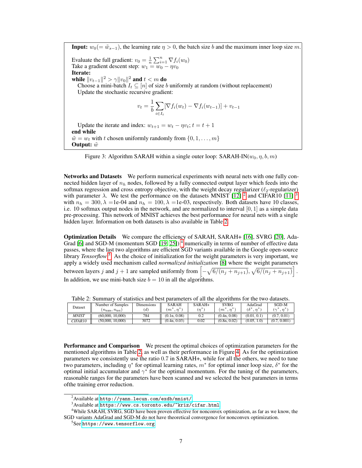<span id="page-7-0"></span>**Input:**  $w_0 = \tilde{w}_{s-1}$ , the learning rate  $\eta > 0$ , the batch size b and the maximum inner loop size m. Evaluate the full gradient:  $v_0 = \frac{1}{n} \sum_{i=1}^n \nabla f_i(w_0)$ Take a gradient descent step:  $w_1 = w_0 - \eta v_0$ Iterate: while  $\|v_{t-1}\|^2 > \gamma \|v_0\|^2$  and  $t < m$  do Choose a mini-batch  $I_t \subseteq [n]$  of size b uniformly at random (without replacement) Update the stochastic recursive gradient:  $v_t = \frac{1}{t}$ b  $\sum$  $i \in I_t$  $[\nabla f_i(w_t) - \nabla f_i(w_{t-1})] + v_{t-1}$ Update the iterate and index:  $w_{t+1} = w_t - \eta v_t$ ;  $t = t + 1$ end while

 $\tilde{w} = w_t$  with t chosen uniformly randomly from  $\{0, 1, \ldots, m\}$ Output:  $\tilde{w}$ 



Networks and Datasets We perform numerical experiments with neural nets with one fully connected hidden layer of  $n_h$  nodes, followed by a fully connected output layer which feeds into the softmax regression and cross entropy objective, with the weight decay regularizer ( $\ell_2$ -regularizer) with parameter  $\lambda$ . We test the performance on the datasets MNIST [\[12\]](#page-9-16) <sup>[2](#page-7-1)</sup> and CIFAR10 [\[11\]](#page-9-17)<sup>[3](#page-7-2)</sup> with  $n_h = 300, \lambda =1e-04$  and  $n_h = 100, \lambda =1e-03$ , respectively. Both datasets have 10 classes, i.e. 10 softmax output nodes in the network, and are normalized to interval [0, 1] as a simple data pre-processing. This network of MNIST achieves the best performance for neural nets with a single hidden layer. Information on both datasets is also available in Table [2.](#page-7-3)

Optimization Details We compare the efficiency of SARAH, SARAH+ [\[16\]](#page-9-7), SVRG [\[20\]](#page-9-8), Ada-Grad [\[6\]](#page-9-18) and SGD-M (momentum SGD  $[19, 25]$  $[19, 25]$  $[19, 25]$ )<sup>[4](#page-7-4)</sup> numerically in terms of number of effective data passes, where the last two algorithms are efficient SGD variants available in the Google open-source library *Tensorflow*<sup>[5](#page-7-5)</sup>. As the choice of initialization for the weight parameters is very important, we apply a widely used mechanism called *normalized initialization* [\[8\]](#page-9-20) where the weight parameters between layers j and  $j + 1$  are sampled uniformly from  $\left[ -\sqrt{6/(n_j + n_{j+1})}, \sqrt{6/(n_j + n_{j+1})} \right]$ . In addition, we use mini-batch size  $b = 10$  in all the algorithms.

|  |              | $\cdots$<br>__________<br><u>vi paalotteb alle ovbe balainetelb ol all tiiv algolitiiliib lol tiiv en o aatabets.</u> |            |              |          |                              |                   |                |  |  |  |
|--|--------------|-----------------------------------------------------------------------------------------------------------------------|------------|--------------|----------|------------------------------|-------------------|----------------|--|--|--|
|  | Dataset      | Number of Samples                                                                                                     | Dimensions | <b>SARAH</b> | $SARAH+$ | <b>SVRG</b>                  | AdaGrad           | SGD-M          |  |  |  |
|  |              | $n_{\text{train}}$ , $n_{\text{test}}$                                                                                | (d)        | $(m^*, n^*)$ | $(n^*)$  | $\cdot m^*$<br>$\cdot$ $n^*$ | $(\delta^*, n^*)$ |                |  |  |  |
|  | <b>MNIST</b> | (60,000, 10,000)                                                                                                      | 784        | (0.1n, 0.08) | 0.2      | (0.4n, 0.08)                 | (0.01, 0.1)       | (0.7, 0.01)    |  |  |  |
|  | CIFAR10      | (50,000, 10,000)                                                                                                      | 3072       | (0.4n, 0.03) | 0.02     | (0.8n, 0.02)                 | (0.05, 1.0)       | 0.001<br>(0.7, |  |  |  |

<span id="page-7-3"></span>Table 2: Summary of statistics and best parameters of all the algorithms for the two datasets.

**Performance and Comparison** We present the optimal choices of optimization parameters for the mentioned algorithms in Table [2,](#page-7-3) as well as their performance in Figure [4.](#page-8-0) As for the optimization parameters we consistently use the ratio 0.7 in SARAH+, while for all the others, we need to tune two parameters, including  $\eta^*$  for optimal learning rates,  $m^*$  for optimal inner loop size,  $\delta^*$  for the optimal initial accumulator and  $\gamma^*$  for the optimal momentum. For the tuning of the parameters, reasonable ranges for the parameters have been scanned and we selected the best parameters in terms ofthe training error reduction.

<span id="page-7-1"></span> $^{2}$ Available at <http://yann.lecun.com/exdb/mnist/>.

<span id="page-7-4"></span><span id="page-7-2"></span> $3$ Available at <https://www.cs.toronto.edu/~kriz/cifar.html>.

<sup>&</sup>lt;sup>4</sup>While SARAH, SVRG, SGD have been proven effective for nonconvex optimization, as far as we know, the SGD variants AdaGrad and SGD-M do not have theoretical convergence for nonconvex optimization.

<span id="page-7-5"></span><sup>5</sup> See <https://www.tensorflow.org>.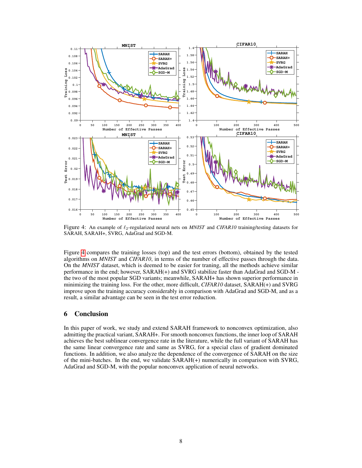<span id="page-8-0"></span>

Figure 4: An example of  $\ell_2$ -regularized neural nets on *MNIST* and *CIFAR10* training/testing datasets for SARAH, SARAH+, SVRG, AdaGrad and SGD-M.

Figure [4](#page-8-0) compares the training losses (top) and the test errors (bottom), obtained by the tested algorithms on *MNIST* and *CIFAR10*, in terms of the number of effective passes through the data. On the *MNIST* dataset, which is deemed to be easier for traning, all the methods achieve similar performance in the end; however, SARAH(+) and SVRG stabilize faster than AdaGrad and SGD-M the two of the most popular SGD variants; meanwhile, SARAH+ has shown superior performance in minimizing the training loss. For the other, more difficult, *CIFAR10* dataset, SARAH(+) and SVRG improve upon the training accuracy considerably in comparison with AdaGrad and SGD-M, and as a result, a similar advantage can be seen in the test error reduction.

# 6 Conclusion

In this paper of work, we study and extend SARAH framework to nonconvex optimization, also admitting the practical variant, SARAH+. For smooth nonconvex functions, the inner loop of SARAH achieves the best sublinear convergence rate in the literature, while the full variant of SARAH has the same linear convergence rate and same as SVRG, for a special class of gradient dominated functions. In addition, we also analyze the dependence of the convergence of SARAH on the size of the mini-batches. In the end, we validate SARAH(+) numerically in comparison with SVRG, AdaGrad and SGD-M, with the popular nonconvex application of neural networks.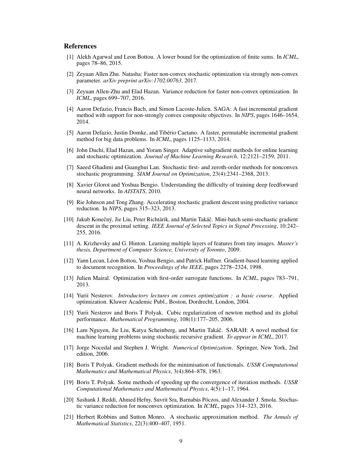### References

- <span id="page-9-13"></span>[1] Alekh Agarwal and Leon Bottou. A lower bound for the optimization of finite sums. In *ICML*, pages 78–86, 2015.
- <span id="page-9-10"></span>[2] Zeyuan Allen Zhu. Natasha: Faster non-convex stochastic optimization via strongly non-convex parameter. *arXiv preprint arXiv:1702.00763*, 2017.
- <span id="page-9-9"></span>[3] Zeyuan Allen-Zhu and Elad Hazan. Variance reduction for faster non-convex optimization. In *ICML*, pages 699–707, 2016.
- <span id="page-9-2"></span>[4] Aaron Defazio, Francis Bach, and Simon Lacoste-Julien. SAGA: A fast incremental gradient method with support for non-strongly convex composite objectives. In *NIPS*, pages 1646–1654, 2014.
- <span id="page-9-4"></span>[5] Aaron Defazio, Justin Domke, and Tibério Caetano. A faster, permutable incremental gradient method for big data problems. In *ICML*, pages 1125–1133, 2014.
- <span id="page-9-18"></span>[6] John Duchi, Elad Hazan, and Yoram Singer. Adaptive subgradient methods for online learning and stochastic optimization. *Journal of Machine Learning Research*, 12:2121–2159, 2011.
- <span id="page-9-14"></span>[7] Saeed Ghadimi and Guanghui Lan. Stochastic first- and zeroth-order methods for nonconvex stochastic programming. *SIAM Journal on Optimization*, 23(4):2341–2368, 2013.
- <span id="page-9-20"></span>[8] Xavier Glorot and Yoshua Bengio. Understanding the difficulty of training deep feedforward neural networks. In *AISTATS*, 2010.
- <span id="page-9-5"></span>[9] Rie Johnson and Tong Zhang. Accelerating stochastic gradient descent using predictive variance reduction. In *NIPS*, pages 315–323, 2013.
- <span id="page-9-6"></span>[10] Jakub Konečný, Jie Liu, Peter Richtárik, and Martin Takáč. Mini-batch semi-stochastic gradient descent in the proximal setting. *IEEE Journal of Selected Topics in Signal Processing*, 10:242– 255, 2016.
- <span id="page-9-17"></span>[11] A. Krizhevsky and G. Hinton. Learning multiple layers of features from tiny images. *Master's thesis, Department of Computer Science, University of Toronto*, 2009.
- <span id="page-9-16"></span>[12] Yann Lecun, Léon Bottou, Yoshua Bengio, and Patrick Haffner. Gradient-based learning applied to document recognition. In *Proceedings of the IEEE*, pages 2278–2324, 1998.
- <span id="page-9-3"></span>[13] Julien Mairal. Optimization with first-order surrogate functions. In *ICML*, pages 783–791, 2013.
- <span id="page-9-15"></span>[14] Yurii Nesterov. *Introductory lectures on convex optimization : a basic course*. Applied optimization. Kluwer Academic Publ., Boston, Dordrecht, London, 2004.
- <span id="page-9-12"></span>[15] Yurii Nesterov and Boris T Polyak. Cubic regularization of newton method and its global performance. *Mathematical Programming*, 108(1):177–205, 2006.
- <span id="page-9-7"></span>[16] Lam Nguyen, Jie Liu, Katya Scheinberg, and Martin Takáč. SARAH: A novel method for machine learning problems using stochastic recursive gradient. *To appear in ICML*, 2017.
- <span id="page-9-0"></span>[17] Jorge Nocedal and Stephen J. Wright. *Numerical Optimization*. Springer, New York, 2nd edition, 2006.
- <span id="page-9-11"></span>[18] Boris T Polyak. Gradient methods for the minimisation of functionals. *USSR Computational Mathematics and Mathematical Physics*, 3(4):864–878, 1963.
- <span id="page-9-19"></span>[19] Boris T. Polyak. Some methods of speeding up the convergence of iteration methods. *USSR Computational Mathematics and Mathematical Physics*, 4(5):1–17, 1964.
- <span id="page-9-8"></span>[20] Sashank J. Reddi, Ahmed Hefny, Suvrit Sra, Barnabás Póczos, and Alexander J. Smola. Stochastic variance reduction for nonconvex optimization. In *ICML*, pages 314–323, 2016.
- <span id="page-9-1"></span>[21] Herbert Robbins and Sutton Monro. A stochastic approximation method. *The Annals of Mathematical Statistics*, 22(3):400–407, 1951.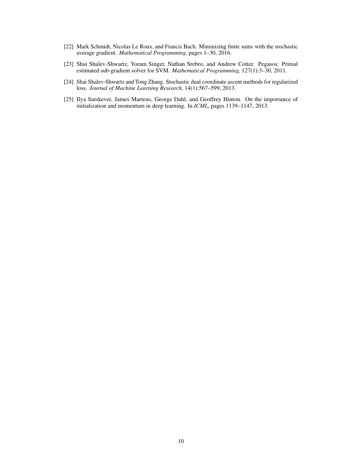- <span id="page-10-1"></span>[22] Mark Schmidt, Nicolas Le Roux, and Francis Bach. Minimizing finite sums with the stochastic average gradient. *Mathematical Programming*, pages 1–30, 2016.
- <span id="page-10-0"></span>[23] Shai Shalev-Shwartz, Yoram Singer, Nathan Srebro, and Andrew Cotter. Pegasos: Primal estimated sub-gradient solver for SVM. *Mathematical Programming*, 127(1):3–30, 2011.
- <span id="page-10-2"></span>[24] Shai Shalev-Shwartz and Tong Zhang. Stochastic dual coordinate ascent methods for regularized loss. *Journal of Machine Learning Research*, 14(1):567–599, 2013.
- <span id="page-10-3"></span>[25] Ilya Sutskever, James Martens, George Dahl, and Geoffrey Hinton. On the importance of initialization and momentum in deep learning. In *ICML*, pages 1139–1147, 2013.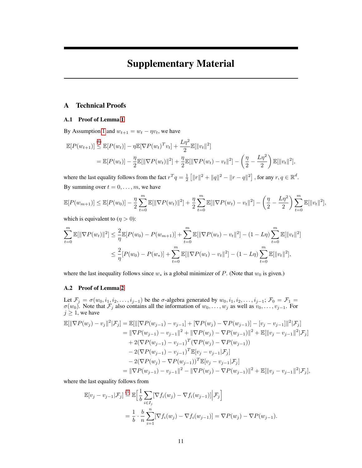# Supplementary Material

# A Technical Proofs

#### A.1 Proof of Lemma [1](#page-4-2)

By Assumption [1](#page-4-1) and  $w_{t+1} = w_t - \eta v_t$ , we have

$$
\mathbb{E}[P(w_{t+1})] \stackrel{(6)}{\leq} \mathbb{E}[P(w_t)] - \eta \mathbb{E}[\nabla P(w_t)^T v_t] + \frac{L\eta^2}{2} \mathbb{E}[\|v_t\|^2] \n= \mathbb{E}[P(w_t)] - \frac{\eta}{2} \mathbb{E}[\|\nabla P(w_t)\|^2] + \frac{\eta}{2} \mathbb{E}[\|\nabla P(w_t) - v_t\|^2] - \left(\frac{\eta}{2} - \frac{L\eta^2}{2}\right) \mathbb{E}[\|v_t\|^2],
$$

where the last equality follows from the fact  $r^T q = \frac{1}{2} \left[ ||r||^2 + ||q||^2 - ||r - q||^2 \right]$ , for any  $r, q \in \mathbb{R}^d$ . By summing over  $t = 0, \ldots, m$ , we have

$$
\mathbb{E}[P(w_{m+1})] \leq \mathbb{E}[P(w_0)] - \frac{\eta}{2} \sum_{t=0}^{m} \mathbb{E}[\|\nabla P(w_t)\|^2] + \frac{\eta}{2} \sum_{t=0}^{m} \mathbb{E}[\|\nabla P(w_t) - v_t\|^2] - \left(\frac{\eta}{2} - \frac{L\eta^2}{2}\right) \sum_{t=0}^{m} \mathbb{E}[\|v_t\|^2],
$$

which is equivalent to  $(\eta > 0)$ :

$$
\sum_{t=0}^{m} \mathbb{E}[\|\nabla P(w_t)\|^2] \leq \frac{2}{\eta} \mathbb{E}[P(w_0) - P(w_{m+1})] + \sum_{t=0}^{m} \mathbb{E}[\|\nabla P(w_t) - v_t\|^2] - (1 - L\eta) \sum_{t=0}^{m} \mathbb{E}[\|v_t\|^2]
$$
  

$$
\leq \frac{2}{\eta} [P(w_0) - P(w_*)] + \sum_{t=0}^{m} \mathbb{E}[\|\nabla P(w_t) - v_t\|^2] - (1 - L\eta) \sum_{t=0}^{m} \mathbb{E}[\|v_t\|^2],
$$

where the last inequality follows since  $w_*$  is a global minimizer of P. (Note that  $w_0$  is given.)

#### A.2 Proof of Lemma [2](#page-4-3)

Let  $\mathcal{F}_j = \sigma(w_0, i_1, i_2, \dots, i_{j-1})$  be the  $\sigma$ -algebra generated by  $w_0, i_1, i_2, \dots, i_{j-1}; \mathcal{F}_0 = \mathcal{F}_1 =$  $\sigma(w_0)$ . Note that  $\mathcal{F}_j$  also contains all the information of  $w_0, \ldots, w_j$  as well as  $v_0, \ldots, v_{j-1}$ . For  $j \geq 1$ , we have

$$
\mathbb{E}[\|\nabla P(w_j) - v_j\|^2 | \mathcal{F}_j] = \mathbb{E}[\|[\nabla P(w_{j-1}) - v_{j-1}] + [\nabla P(w_j) - \nabla P(w_{j-1})] - [v_j - v_{j-1}]\|^2 | \mathcal{F}_j]
$$
  
\n
$$
= \|\nabla P(w_{j-1}) - v_{j-1}\|^2 + \|\nabla P(w_j) - \nabla P(w_{j-1})\|^2 + \mathbb{E}[\|v_j - v_{j-1}\|^2 | \mathcal{F}_j]
$$
  
\n
$$
+ 2(\nabla P(w_{j-1}) - v_{j-1})^T (\nabla P(w_j) - \nabla P(w_{j-1}))
$$
  
\n
$$
- 2(\nabla P(w_{j-1}) - v_{j-1})^T \mathbb{E}[v_j - v_{j-1} | \mathcal{F}_j]
$$
  
\n
$$
- 2(\nabla P(w_j) - \nabla P(w_{j-1}))^T \mathbb{E}[v_j - v_{j-1} | \mathcal{F}_j]
$$
  
\n
$$
= \|\nabla P(w_{j-1}) - v_{j-1}\|^2 - \|\nabla P(w_j) - \nabla P(w_{j-1})\|^2 + \mathbb{E}[\|v_j - v_{j-1}\|^2 | \mathcal{F}_j],
$$

where the last equality follows from

$$
\mathbb{E}[v_j - v_{j-1} | \mathcal{F}_j] \stackrel{(3)}{=} \mathbb{E}\Big[\frac{1}{b} \sum_{i \in I_j} [\nabla f_i(w_j) - \nabla f_i(w_{j-1})] \Big| \mathcal{F}_j\Big]
$$
  
=  $\frac{1}{b} \cdot \frac{b}{n} \sum_{i=1}^n [\nabla f_i(w_j) - \nabla f_i(w_{j-1})] = \nabla P(w_j) - \nabla P(w_{j-1}).$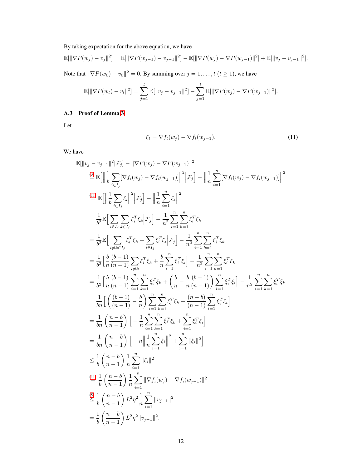By taking expectation for the above equation, we have

$$
\mathbb{E}[\|\nabla P(w_j) - v_j\|^2] = \mathbb{E}[\|\nabla P(w_{j-1}) - v_{j-1}\|^2] - \mathbb{E}[\|\nabla P(w_j) - \nabla P(w_{j-1})\|^2] + \mathbb{E}[\|v_j - v_{j-1}\|^2].
$$

Note that  $\|\nabla P(w_0) - v_0\|^2 = 0$ . By summing over  $j = 1, ..., t$   $(t \ge 1)$ , we have

$$
\mathbb{E}[\|\nabla P(w_t) - v_t\|^2] = \sum_{j=1}^t \mathbb{E}[\|v_j - v_{j-1}\|^2] - \sum_{j=1}^t \mathbb{E}[\|\nabla P(w_j) - \nabla P(w_{j-1})\|^2].
$$

# <span id="page-12-0"></span>A.3 Proof of Lemma [3](#page-4-4)

Let

$$
\xi_t = \nabla f_t(w_j) - \nabla f_t(w_{j-1}).\tag{11}
$$

We have

$$
\mathbb{E}[\|v_j - v_{j-1}\|^2 | \mathcal{F}_j] - \| \nabla P(w_j) - \nabla P(w_{j-1}) \|^2
$$
\n
$$
\stackrel{(3)}{=} \mathbb{E} \Big[ \Big\| \frac{1}{b} \sum_{i \in I_j} [\nabla f_i(w_j) - \nabla f_i(w_{j-1})] \Big\|^2 \Big\,mathcal{F}_j \Big] - \Big\| \frac{1}{n} \sum_{i=1}^n [\nabla f_i(w_j) - \nabla f_i(w_{j-1})] \Big\|^2
$$
\n
$$
\stackrel{(4)}{=} \mathbb{E} \Big[ \Big\| \frac{1}{b} \sum_{i \in I_j} \xi_i \Big\|^2 \Big\mathcal{F}_j \Big] - \Big\| \frac{1}{n} \sum_{i=1}^n \xi_i \Big\|^2
$$
\n
$$
= \frac{1}{b^2} \mathbb{E} \Big[ \sum_{i \in I_j} \sum_{k \in I_j} \xi_i^T \xi_k \Big\mathcal{F}_j \Big] - \frac{1}{n^2} \sum_{i=1}^n \sum_{k=1}^n \xi_i^T \xi_k
$$
\n
$$
= \frac{1}{b^2} \mathbb{E} \Big[ \sum_{i \neq k \in I_j} \xi_i^T \xi_k + \sum_{i \in I_j} \xi_i^T \xi_i \Big\mathcal{F}_j \Big] - \frac{1}{n^2} \sum_{i=1}^n \sum_{k=1}^n \xi_i^T \xi_k
$$
\n
$$
= \frac{1}{b^2} \Big[ \frac{b}{n} \frac{(b-1)}{(n-1)} \sum_{i \neq k} \xi_i^T \xi_k + \frac{b}{n} \sum_{i=1}^n \xi_i^T \xi_i \Big] - \frac{1}{n^2} \sum_{i=1}^n \sum_{k=1}^n \xi_i^T \xi_k
$$
\n
$$
= \frac{1}{b^2} \Big[ \frac{b}{n} \frac{(b-1)}{(n-1)} \sum_{i=1}^n \xi_i^T \xi_k + \Big( \frac{b}{n} - \frac{b}{n} \frac{(b-1)}{(n-1)} \Big) \sum_{i=1}^n \xi_i^T \xi_i \Big] - \frac{1}{n^2} \sum_{i=1}^n \xi
$$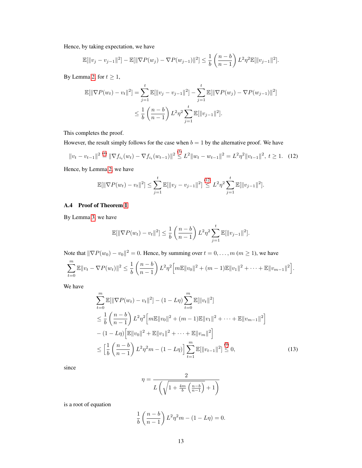Hence, by taking expectation, we have

$$
\mathbb{E}[\|v_j - v_{j-1}\|^2] - \mathbb{E}[\|\nabla P(w_j) - \nabla P(w_{j-1})\|^2] \le \frac{1}{b} \left(\frac{n-b}{n-1}\right) L^2 \eta^2 \mathbb{E}[\|v_{j-1}\|^2].
$$

By Lemma [2,](#page-4-3) for  $t \geq 1$ ,

$$
\mathbb{E}[\|\nabla P(w_t) - v_t\|^2] = \sum_{j=1}^t \mathbb{E}[\|v_j - v_{j-1}\|^2] - \sum_{j=1}^t \mathbb{E}[\|\nabla P(w_j) - \nabla P(w_{j-1})\|^2]
$$
  

$$
\leq \frac{1}{b} \left(\frac{n-b}{n-1}\right) L^2 \eta^2 \sum_{j=1}^t \mathbb{E}[\|v_{j-1}\|^2].
$$

This completes the proof.

However, the result simply follows for the case when  $b = 1$  by the alternative proof. We have

$$
||v_t - v_{t-1}||^2 \stackrel{(4)}{=} ||\nabla f_{i_t}(w_t) - \nabla f_{i_t}(w_{t-1})||^2 \stackrel{(5)}{\leq} L^2 ||w_t - w_{t-1}||^2 = L^2 \eta^2 ||v_{t-1}||^2, \ t \geq 1. \tag{12}
$$

Hence, by Lemma [2,](#page-4-3) we have

$$
\mathbb{E}[\|\nabla P(w_t) - v_t\|^2] \le \sum_{j=1}^t \mathbb{E}[\|v_j - v_{j-1}\|^2] \stackrel{(12)}{\le} L^2 \eta^2 \sum_{j=1}^t \mathbb{E}[\|v_{j-1}\|^2].
$$

## <span id="page-13-0"></span>A.4 Proof of Theorem [1](#page-4-6)

By Lemma [3,](#page-4-4) we have

$$
\mathbb{E}[\|\nabla P(w_t) - v_t\|^2] \le \frac{1}{b} \left(\frac{n-b}{n-1}\right) L^2 \eta^2 \sum_{j=1}^t \mathbb{E}[\|v_{j-1}\|^2].
$$

Note that  $\|\nabla P(w_0) - v_0\|^2 = 0$ . Hence, by summing over  $t = 0, \ldots, m$   $(m \ge 1)$ , we have

$$
\sum_{t=0}^{m} \mathbb{E} ||v_t - \nabla P(w_t)||^2 \leq \frac{1}{b} \left( \frac{n-b}{n-1} \right) L^2 \eta^2 \left[ m \mathbb{E} ||v_0||^2 + (m-1) \mathbb{E} ||v_1||^2 + \dots + \mathbb{E} ||v_{m-1}||^2 \right].
$$

We have

$$
\sum_{t=0}^{m} \mathbb{E}[\|\nabla P(w_t) - v_t\|^2] - (1 - L\eta) \sum_{t=0}^{m} \mathbb{E}[\|v_t\|^2]
$$
  
\n
$$
\leq \frac{1}{b} \left(\frac{n-b}{n-1}\right) L^2 \eta^2 \Big[m \mathbb{E} \|v_0\|^2 + (m-1) \mathbb{E} \|v_1\|^2 + \dots + \mathbb{E} \|v_{m-1}\|^2 \Big]
$$
  
\n
$$
- (1 - L\eta) \Big[\mathbb{E} \|v_0\|^2 + \mathbb{E} \|v_1\|^2 + \dots + \mathbb{E} \|v_m\|^2 \Big]
$$
  
\n
$$
\leq \Big[\frac{1}{b} \left(\frac{n-b}{n-1}\right) L^2 \eta^2 m - (1 - L\eta) \Big] \sum_{t=1}^{m} \mathbb{E}[\|v_{t-1}\|^2] \leq 0,
$$
 (13)

since

$$
\eta = \frac{2}{L\left(\sqrt{1 + \frac{4m}{b}\left(\frac{n-b}{n-1}\right)} + 1\right)}
$$

is a root of equation

$$
\frac{1}{b} \left( \frac{n-b}{n-1} \right) L^2 \eta^2 m - (1 - L\eta) = 0.
$$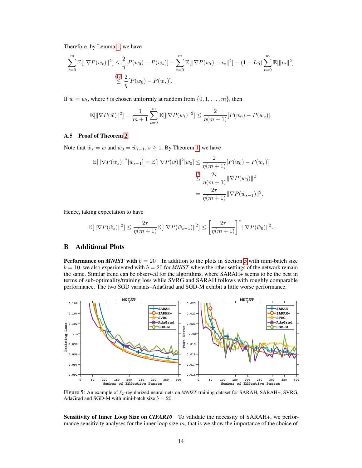Therefore, by Lemma [1,](#page-4-2) we have

$$
\sum_{t=0}^{m} \mathbb{E}[\|\nabla P(w_t)\|^2] \leq \frac{2}{\eta} [P(w_0) - P(w_*)] + \sum_{t=0}^{m} \mathbb{E}[\|\nabla P(w_t) - v_t\|^2] - (1 - L\eta) \sum_{t=0}^{m} \mathbb{E}[\|v_t\|^2]
$$
  

$$
\leq \frac{(13)}{\eta} [P(w_0) - P(w_*)].
$$

If  $\tilde{w} = w_t$ , where t is chosen uniformly at random from  $\{0, 1, \ldots, m\}$ , then

$$
\mathbb{E}[\|\nabla P(\tilde{w})\|^2] = \frac{1}{m+1} \sum_{t=0}^m \mathbb{E}[\|\nabla P(w_t)\|^2] \le \frac{2}{\eta(m+1)} [P(w_0) - P(w_*)].
$$

### A.5 Proof of Theorem [2](#page-5-0)

Note that  $\tilde{w}_s = \tilde{w}$  and  $w_0 = \tilde{w}_{s-1}$ ,  $s \ge 1$ . By Theorem [1,](#page-4-6) we have

$$
\mathbb{E}[\|\nabla P(\tilde{w}_s)\|^2 |\tilde{w}_{s-1}] = \mathbb{E}[\|\nabla P(\tilde{w})\|^2 |w_0] \le \frac{2}{\eta(m+1)} [P(w_0) - P(w_*)]
$$
  

$$
\le \frac{\binom{\tau}{2}}{\eta(m+1)} \|\nabla P(w_0)\|^2
$$
  

$$
= \frac{2\tau}{\eta(m+1)} \|\nabla P(\tilde{w}_{s-1})\|^2.
$$

Hence, taking expectation to have

$$
\mathbb{E}[\|\nabla P(\tilde{w}_s)\|^2] \le \frac{2\tau}{\eta(m+1)} \mathbb{E}[\|\nabla P(\tilde{w}_{s-1})\|^2] \le \left[\frac{2\tau}{\eta(m+1)}\right]^s \|\nabla P(\tilde{w}_0)\|^2.
$$

# B Additional Plots

**Performance on** *MNIST* with  $b = 20$  In addition to the plots in Section [5](#page-6-0) with mini-batch size  $b = 10$ , we also experimented with  $b = 20$  for *MNIST* where the other settings of the network remain the same. Similar trend can be observed for the algorithms, where SARAH+ seems to be the best in terms of sub-optimality/training loss while SVRG and SARAH follows with roughly comparable performance. The two SGD variants–AdaGrad and SGD-M exhibit a little worse performance.



Figure 5: An example of  $\ell_2$ -regularized neural nets on *MNIST* training dataset for SARAH, SARAH+, SVRG, AdaGrad and SGD-M with mini-batch size  $b = 20$ .

Sensitivity of Inner Loop Size on *CIFAR10* To validate the necessity of SARAH+, we performance sensitivity analyses for the inner loop size  $m$ , that is we show the importance of the choice of